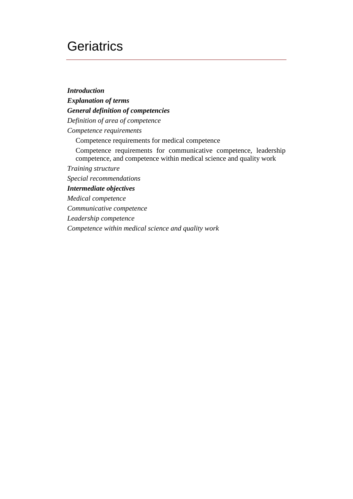## **Geriatrics**

*Introduction Explanation of terms General definition of competencies Definition of area of competence Competence requirements*  Competence requirements for medical competence Competence requirements for communicative competence, leadership competence, and competence within medical science and quality work *Training structure Special recommendations Intermediate objectives Medical competence Communicative competence Leadership competence Competence within medical science and quality work*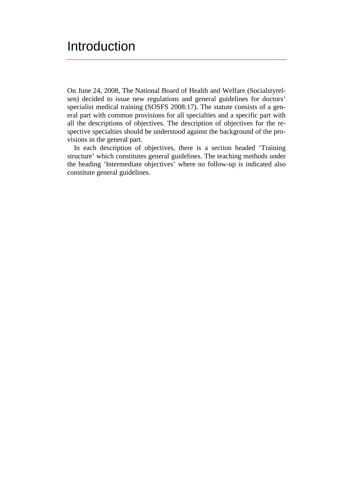## **Introduction**

On June 24, 2008, The National Board of Health and Welfare (Socialstyrelsen) decided to issue new regulations and general guidelines for doctors' specialist medical training (SOSFS 2008:17). The statute consists of a general part with common provisions for all specialties and a specific part with all the descriptions of objectives. The description of objectives for the respective specialties should be understood against the background of the provisions in the general part.

In each description of objectives, there is a section headed 'Training structure' which constitutes general guidelines. The teaching methods under the heading 'Intermediate objectives' where no follow-up is indicated also constitute general guidelines.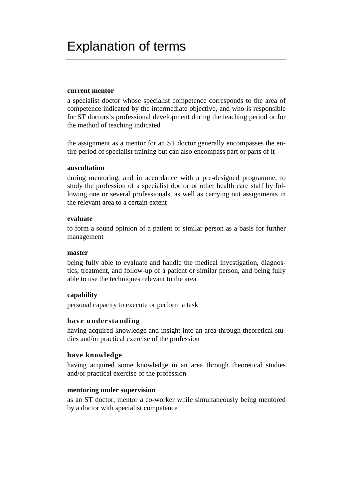### **current mentor**

a specialist doctor whose specialist competence corresponds to the area of competence indicated by the intermediate objective, and who is responsible for ST doctors's professional development during the teaching period or for the method of teaching indicated

the assignment as a mentor for an ST doctor generally encompasses the entire period of specialist training but can also encompass part or parts of it

### **auscultation**

during mentoring, and in accordance with a pre-designed programme, to study the profession of a specialist doctor or other health care staff by following one or several professionals, as well as carrying out assignments in the relevant area to a certain extent

### **evaluate**

to form a sound opinion of a patient or similar person as a basis for further management

### **master**

being fully able to evaluate and handle the medical investigation, diagnostics, treatment, and follow-up of a patient or similar person, and being fully able to use the techniques relevant to the area

### **capability**

personal capacity to execute or perform a task

### **have understanding**

having acquired knowledge and insight into an area through theoretical studies and/or practical exercise of the profession

### **have knowledge**

having acquired some knowledge in an area through theoretical studies and/or practical exercise of the profession

### **mentoring under supervision**

as an ST doctor, mentor a co-worker while simultaneously being mentored by a doctor with specialist competence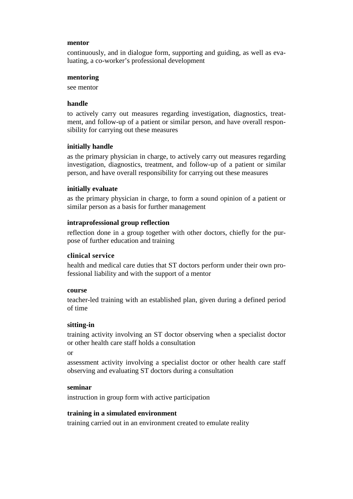#### **mentor**

continuously, and in dialogue form, supporting and guiding, as well as evaluating, a co-worker's professional development

#### **mentoring**

see mentor

#### **handle**

to actively carry out measures regarding investigation, diagnostics, treatment, and follow-up of a patient or similar person, and have overall responsibility for carrying out these measures

### **initially handle**

as the primary physician in charge, to actively carry out measures regarding investigation, diagnostics, treatment, and follow-up of a patient or similar person, and have overall responsibility for carrying out these measures

### **initially evaluate**

as the primary physician in charge, to form a sound opinion of a patient or similar person as a basis for further management

### **intraprofessional group reflection**

reflection done in a group together with other doctors, chiefly for the purpose of further education and training

#### **clinical service**

health and medical care duties that ST doctors perform under their own professional liability and with the support of a mentor

#### **course**

teacher-led training with an established plan, given during a defined period of time

### **sitting-in**

training activity involving an ST doctor observing when a specialist doctor or other health care staff holds a consultation

or

assessment activity involving a specialist doctor or other health care staff observing and evaluating ST doctors during a consultation

#### **seminar**

instruction in group form with active participation

### **training in a simulated environment**

training carried out in an environment created to emulate reality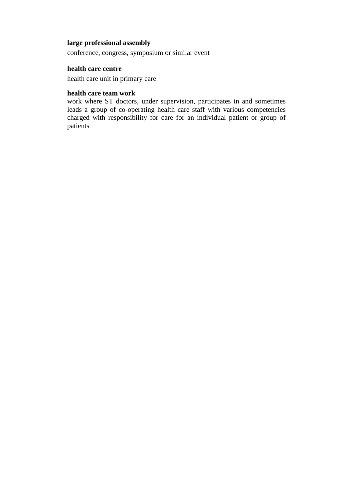### **large professional assembly**

conference, congress, symposium or similar event

### **health care centre**

health care unit in primary care

### **health care team work**

work where ST doctors, under supervision, participates in and sometimes leads a group of co-operating health care staff with various competencies charged with responsibility for care for an individual patient or group of patients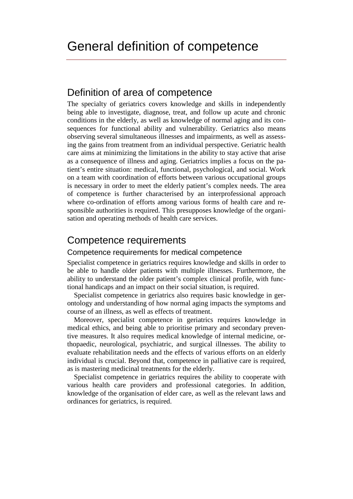### Definition of area of competence

The specialty of geriatrics covers knowledge and skills in independently being able to investigate, diagnose, treat, and follow up acute and chronic conditions in the elderly, as well as knowledge of normal aging and its consequences for functional ability and vulnerability. Geriatrics also means observing several simultaneous illnesses and impairments, as well as assessing the gains from treatment from an individual perspective. Geriatric health care aims at minimizing the limitations in the ability to stay active that arise as a consequence of illness and aging. Geriatrics implies a focus on the patient's entire situation: medical, functional, psychological, and social. Work on a team with coordination of efforts between various occupational groups is necessary in order to meet the elderly patient's complex needs. The area of competence is further characterised by an interprofessional approach where co-ordination of efforts among various forms of health care and responsible authorities is required. This presupposes knowledge of the organisation and operating methods of health care services.

### Competence requirements

### Competence requirements for medical competence

Specialist competence in geriatrics requires knowledge and skills in order to be able to handle older patients with multiple illnesses. Furthermore, the ability to understand the older patient's complex clinical profile, with functional handicaps and an impact on their social situation, is required.

Specialist competence in geriatrics also requires basic knowledge in gerontology and understanding of how normal aging impacts the symptoms and course of an illness, as well as effects of treatment.

Moreover, specialist competence in geriatrics requires knowledge in medical ethics, and being able to prioritise primary and secondary preventive measures. It also requires medical knowledge of internal medicine, orthopaedic, neurological, psychiatric, and surgical illnesses. The ability to evaluate rehabilitation needs and the effects of various efforts on an elderly individual is crucial. Beyond that, competence in palliative care is required, as is mastering medicinal treatments for the elderly.

Specialist competence in geriatrics requires the ability to cooperate with various health care providers and professional categories. In addition, knowledge of the organisation of elder care, as well as the relevant laws and ordinances for geriatrics, is required.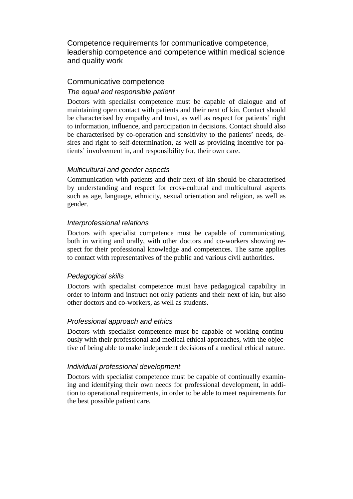Competence requirements for communicative competence, leadership competence and competence within medical science and quality work

### Communicative competence

### *The equal and responsible patient*

Doctors with specialist competence must be capable of dialogue and of maintaining open contact with patients and their next of kin. Contact should be characterised by empathy and trust, as well as respect for patients' right to information, influence, and participation in decisions. Contact should also be characterised by co-operation and sensitivity to the patients' needs, desires and right to self-determination, as well as providing incentive for patients' involvement in, and responsibility for, their own care.

### *Multicultural and gender aspects*

Communication with patients and their next of kin should be characterised by understanding and respect for cross-cultural and multicultural aspects such as age, language, ethnicity, sexual orientation and religion, as well as gender.

### *Interprofessional relations*

Doctors with specialist competence must be capable of communicating, both in writing and orally, with other doctors and co-workers showing respect for their professional knowledge and competences. The same applies to contact with representatives of the public and various civil authorities.

### *Pedagogical skills*

Doctors with specialist competence must have pedagogical capability in order to inform and instruct not only patients and their next of kin, but also other doctors and co-workers, as well as students.

### *Professional approach and ethics*

Doctors with specialist competence must be capable of working continuously with their professional and medical ethical approaches, with the objective of being able to make independent decisions of a medical ethical nature.

### *Individual professional development*

Doctors with specialist competence must be capable of continually examining and identifying their own needs for professional development, in addition to operational requirements, in order to be able to meet requirements for the best possible patient care.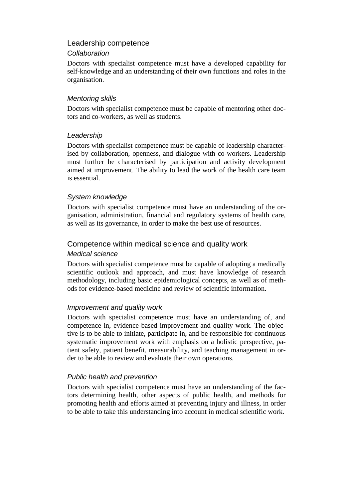### Leadership competence

### *Collaboration*

Doctors with specialist competence must have a developed capability for self-knowledge and an understanding of their own functions and roles in the organisation.

### *Mentoring skills*

Doctors with specialist competence must be capable of mentoring other doctors and co-workers, as well as students.

### *Leadership*

Doctors with specialist competence must be capable of leadership characterised by collaboration, openness, and dialogue with co-workers. Leadership must further be characterised by participation and activity development aimed at improvement. The ability to lead the work of the health care team is essential.

### *System knowledge*

Doctors with specialist competence must have an understanding of the organisation, administration, financial and regulatory systems of health care, as well as its governance, in order to make the best use of resources.

### Competence within medical science and quality work

### *Medical science*

Doctors with specialist competence must be capable of adopting a medically scientific outlook and approach, and must have knowledge of research methodology, including basic epidemiological concepts, as well as of methods for evidence-based medicine and review of scientific information.

### *Improvement and quality work*

Doctors with specialist competence must have an understanding of, and competence in, evidence-based improvement and quality work. The objective is to be able to initiate, participate in, and be responsible for continuous systematic improvement work with emphasis on a holistic perspective, patient safety, patient benefit, measurability, and teaching management in order to be able to review and evaluate their own operations.

### *Public health and prevention*

Doctors with specialist competence must have an understanding of the factors determining health, other aspects of public health, and methods for promoting health and efforts aimed at preventing injury and illness, in order to be able to take this understanding into account in medical scientific work.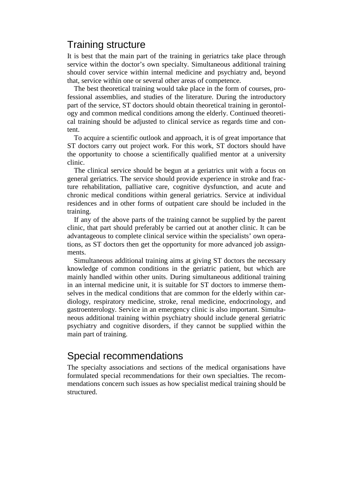### Training structure

It is best that the main part of the training in geriatrics take place through service within the doctor's own specialty. Simultaneous additional training should cover service within internal medicine and psychiatry and, beyond that, service within one or several other areas of competence.

The best theoretical training would take place in the form of courses, professional assemblies, and studies of the literature. During the introductory part of the service, ST doctors should obtain theoretical training in gerontology and common medical conditions among the elderly. Continued theoretical training should be adjusted to clinical service as regards time and content.

To acquire a scientific outlook and approach, it is of great importance that ST doctors carry out project work. For this work, ST doctors should have the opportunity to choose a scientifically qualified mentor at a university clinic.

The clinical service should be begun at a geriatrics unit with a focus on general geriatrics. The service should provide experience in stroke and fracture rehabilitation, palliative care, cognitive dysfunction, and acute and chronic medical conditions within general geriatrics. Service at individual residences and in other forms of outpatient care should be included in the training.

If any of the above parts of the training cannot be supplied by the parent clinic, that part should preferably be carried out at another clinic. It can be advantageous to complete clinical service within the specialists' own operations, as ST doctors then get the opportunity for more advanced job assignments.

Simultaneous additional training aims at giving ST doctors the necessary knowledge of common conditions in the geriatric patient, but which are mainly handled within other units. During simultaneous additional training in an internal medicine unit, it is suitable for ST doctors to immerse themselves in the medical conditions that are common for the elderly within cardiology, respiratory medicine, stroke, renal medicine, endocrinology, and gastroenterology. Service in an emergency clinic is also important. Simultaneous additional training within psychiatry should include general geriatric psychiatry and cognitive disorders, if they cannot be supplied within the main part of training.

### Special recommendations

The specialty associations and sections of the medical organisations have formulated special recommendations for their own specialties. The recommendations concern such issues as how specialist medical training should be structured.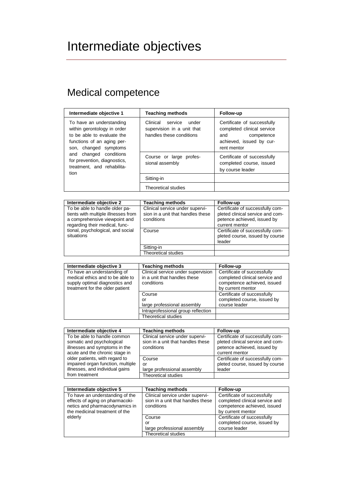# Intermediate objectives

## Medical competence

| Intermediate objective 1                                                                                                                                                                                                                     | <b>Teaching methods</b>                                                                | Follow-up                                                                                                                 |
|----------------------------------------------------------------------------------------------------------------------------------------------------------------------------------------------------------------------------------------------|----------------------------------------------------------------------------------------|---------------------------------------------------------------------------------------------------------------------------|
| To have an understanding<br>within gerontology in order<br>to be able to evaluate the<br>functions of an aging per-<br>son, changed symptoms<br>and changed conditions<br>for prevention, diagnostics,<br>treatment, and rehabilita-<br>tion | service<br>Clinical<br>under<br>supervision in a unit that<br>handles these conditions | Certificate of successfully<br>completed clinical service<br>competence<br>and<br>achieved, issued by cur-<br>rent mentor |
|                                                                                                                                                                                                                                              | Course or large profes-<br>sional assembly                                             | Certificate of successfully<br>completed course, issued<br>by course leader                                               |
|                                                                                                                                                                                                                                              | Sitting-in                                                                             |                                                                                                                           |
|                                                                                                                                                                                                                                              | Theoretical studies                                                                    |                                                                                                                           |
|                                                                                                                                                                                                                                              |                                                                                        |                                                                                                                           |

| Intermediate objective 2                                                                               | <b>Teaching methods</b>                                                            | <b>Follow-up</b>                                                                                    |
|--------------------------------------------------------------------------------------------------------|------------------------------------------------------------------------------------|-----------------------------------------------------------------------------------------------------|
| To be able to handle older pa-<br>tients with multiple illnesses from<br>a comprehensive viewpoint and | Clinical service under supervi-<br>sion in a unit that handles these<br>conditions | Certificate of successfully com-<br>pleted clinical service and com-<br>petence achieved, issued by |
| regarding their medical, func-                                                                         |                                                                                    | current mentor                                                                                      |
| tional, psychological, and social<br>situations                                                        | Course                                                                             | Certificate of successfully com-<br>pleted course, issued by course<br>leader                       |
|                                                                                                        | Sitting-in                                                                         |                                                                                                     |
|                                                                                                        | Theoretical studies                                                                |                                                                                                     |

| Intermediate objective 3                                                                                                             | <b>Teaching methods</b>                                                          | Follow-up                                                                                                         |
|--------------------------------------------------------------------------------------------------------------------------------------|----------------------------------------------------------------------------------|-------------------------------------------------------------------------------------------------------------------|
| To have an understanding of<br>medical ethics and to be able to<br>supply optimal diagnostics and<br>treatment for the older patient | Clinical service under supervision<br>in a unit that handles these<br>conditions | Certificate of successfully<br>completed clinical service and<br>competence achieved, issued<br>by current mentor |
|                                                                                                                                      | Course                                                                           | Certificate of successfully                                                                                       |
|                                                                                                                                      | or                                                                               | completed course, issued by                                                                                       |
|                                                                                                                                      | large professional assembly                                                      | course leader                                                                                                     |
|                                                                                                                                      | Intraprofessional group reflection                                               |                                                                                                                   |
|                                                                                                                                      | <b>Theoretical studies</b>                                                       |                                                                                                                   |

| Intermediate objective 4          | <b>Teaching methods</b>           | Follow-up                        |
|-----------------------------------|-----------------------------------|----------------------------------|
| To be able to handle common       | Clinical service under supervi-   | Certificate of successfully com- |
| somatic and psychological         | sion in a unit that handles these | pleted clinical service and com- |
| illnesses and symptoms in the     | conditions                        | petence achieved, issued by      |
| acute and the chronic stage in    |                                   | current mentor                   |
| older patients, with regard to    | Course                            | Certificate of successfully com- |
| impaired organ function, multiple | or                                | pleted course, issued by course  |
| illnesses, and individual gains   | large professional assembly       | leader                           |
| from treatment                    | Theoretical studies               |                                  |

| Intermediate objective 5                                                                                                               | <b>Teaching methods</b>                                                            | Follow-up                                                                                                         |
|----------------------------------------------------------------------------------------------------------------------------------------|------------------------------------------------------------------------------------|-------------------------------------------------------------------------------------------------------------------|
| To have an understanding of the<br>effects of aging on pharmacoki-<br>netics and pharmacodynamics in<br>the medicinal treatment of the | Clinical service under supervi-<br>sion in a unit that handles these<br>conditions | Certificate of successfully<br>completed clinical service and<br>competence achieved, issued<br>by current mentor |
| elderly                                                                                                                                | Course<br>or<br>large professional assembly                                        | Certificate of successfully<br>completed course, issued by<br>course leader                                       |
|                                                                                                                                        | <b>Theoretical studies</b>                                                         |                                                                                                                   |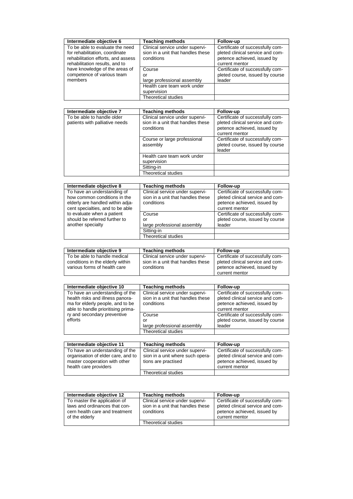| Intermediate objective 6                                                                                                                  | <b>Teaching methods</b>                                                            | Follow-up                                                                                                             |
|-------------------------------------------------------------------------------------------------------------------------------------------|------------------------------------------------------------------------------------|-----------------------------------------------------------------------------------------------------------------------|
| To be able to evaluate the need<br>for rehabilitation, coordinate<br>rehabilitation efforts, and assess<br>rehabilitation results, and to | Clinical service under supervi-<br>sion in a unit that handles these<br>conditions | Certificate of successfully com-<br>pleted clinical service and com-<br>petence achieved, issued by<br>current mentor |
| have knowledge of the areas of<br>competence of various team<br>members                                                                   | Course<br>or<br>large professional assembly                                        | Certificate of successfully com-<br>pleted course, issued by course<br>leader                                         |
|                                                                                                                                           | Health care team work under<br>supervision                                         |                                                                                                                       |
|                                                                                                                                           | Theoretical studies                                                                |                                                                                                                       |

| Intermediate objective 7                                     | <b>Teaching methods</b>                                                            | Follow-up                                                                                                             |
|--------------------------------------------------------------|------------------------------------------------------------------------------------|-----------------------------------------------------------------------------------------------------------------------|
| To be able to handle older<br>patients with palliative needs | Clinical service under supervi-<br>sion in a unit that handles these<br>conditions | Certificate of successfully com-<br>pleted clinical service and com-<br>petence achieved, issued by<br>current mentor |
|                                                              | Course or large professional<br>assembly                                           | Certificate of successfully com-<br>pleted course, issued by course<br>leader                                         |
|                                                              | Health care team work under<br>supervision                                         |                                                                                                                       |
|                                                              | Sitting-in                                                                         |                                                                                                                       |
|                                                              | Theoretical studies                                                                |                                                                                                                       |

| Intermediate objective 8                                                                        | <b>Teaching methods</b>                                                            | Follow-up                                                                                           |
|-------------------------------------------------------------------------------------------------|------------------------------------------------------------------------------------|-----------------------------------------------------------------------------------------------------|
| To have an understanding of<br>how common conditions in the<br>elderly are handled within adja- | Clinical service under supervi-<br>sion in a unit that handles these<br>conditions | Certificate of successfully com-<br>pleted clinical service and com-<br>petence achieved, issued by |
| cent specialties, and to be able                                                                |                                                                                    | current mentor                                                                                      |
| to evaluate when a patient                                                                      | Course                                                                             | Certificate of successfully com-                                                                    |
| should be referred further to                                                                   | or                                                                                 | pleted course, issued by course                                                                     |
| another specialty                                                                               | large professional assembly                                                        | leader                                                                                              |
|                                                                                                 | Sitting-in                                                                         |                                                                                                     |
|                                                                                                 | Theoretical studies                                                                |                                                                                                     |

| Intermediate objective 9         | <b>Teaching methods</b>           | <b>Follow-up</b>                 |
|----------------------------------|-----------------------------------|----------------------------------|
| To be able to handle medical     | Clinical service under supervi-   | Certificate of successfully com- |
| conditions in the elderly within | sion in a unit that handles these | pleted clinical service and com- |
| various forms of health care     | conditions                        | petence achieved, issued by      |
|                                  |                                   | current mentor                   |

| Intermediate objective 10                                                                                                                     | <b>Teaching methods</b>                                                            | Follow-up                                                                                                             |
|-----------------------------------------------------------------------------------------------------------------------------------------------|------------------------------------------------------------------------------------|-----------------------------------------------------------------------------------------------------------------------|
| To have an understanding of the<br>health risks and illness panora-<br>ma for elderly people, and to be<br>able to handle prioritising prima- | Clinical service under supervi-<br>sion in a unit that handles these<br>conditions | Certificate of successfully com-<br>pleted clinical service and com-<br>petence achieved, issued by<br>current mentor |
| ry and secondary preventive<br>efforts                                                                                                        | Course<br>or                                                                       | Certificate of successfully com-<br>pleted course, issued by course                                                   |
|                                                                                                                                               | large professional assembly                                                        | leader                                                                                                                |
|                                                                                                                                               | <b>Theoretical studies</b>                                                         |                                                                                                                       |

| Intermediate objective 11                                                                                                       | <b>Teaching methods</b>                                                                    | Follow-up                                                                                                             |
|---------------------------------------------------------------------------------------------------------------------------------|--------------------------------------------------------------------------------------------|-----------------------------------------------------------------------------------------------------------------------|
| To have an understanding of the<br>organisation of elder care, and to<br>master cooperation with other<br>health care providers | Clinical service under supervi-<br>sion in a unit where such opera-<br>tions are practised | Certificate of successfully com-<br>pleted clinical service and com-<br>petence achieved, issued by<br>current mentor |
|                                                                                                                                 | Theoretical studies                                                                        |                                                                                                                       |

| Intermediate objective 12                                                                                         | <b>Teaching methods</b>                                                            | <b>Follow-up</b>                                                                                                      |
|-------------------------------------------------------------------------------------------------------------------|------------------------------------------------------------------------------------|-----------------------------------------------------------------------------------------------------------------------|
| To master the application of<br>laws and ordinances that con-<br>cern health care and treatment<br>of the elderly | Clinical service under supervi-<br>sion in a unit that handles these<br>conditions | Certificate of successfully com-<br>pleted clinical service and com-<br>petence achieved, issued by<br>current mentor |
|                                                                                                                   | Theoretical studies                                                                |                                                                                                                       |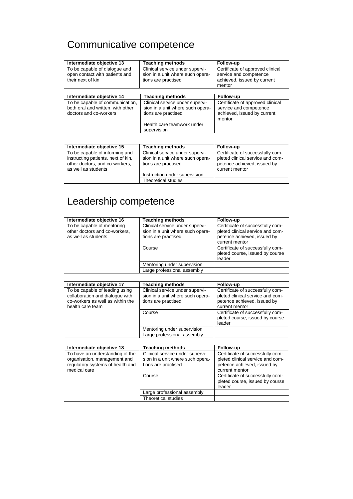## Communicative competence

| Intermediate objective 13                                                                      | <b>Teaching methods</b>                                                                    | Follow-up                                                                                           |
|------------------------------------------------------------------------------------------------|--------------------------------------------------------------------------------------------|-----------------------------------------------------------------------------------------------------|
| To be capable of dialogue and<br>open contact with patients and<br>their next of kin           | Clinical service under supervi-<br>sion in a unit where such opera-<br>tions are practised | Certificate of approved clinical<br>service and competence<br>achieved, issued by current<br>mentor |
|                                                                                                |                                                                                            |                                                                                                     |
| Intermediate objective 14                                                                      | <b>Teaching methods</b>                                                                    | Follow-up                                                                                           |
| To be capable of communication,<br>both oral and written, with other<br>doctors and co-workers | Clinical service under supervi-<br>sion in a unit where such opera-<br>tions are practised | Certificate of approved clinical<br>service and competence<br>achieved, issued by current<br>mentor |
|                                                                                                | Health care teamwork under<br>supervision                                                  |                                                                                                     |

| Intermediate objective 15                                                                                                     | <b>Teaching methods</b>                                                                    | <b>Follow-up</b>                                                                                                      |
|-------------------------------------------------------------------------------------------------------------------------------|--------------------------------------------------------------------------------------------|-----------------------------------------------------------------------------------------------------------------------|
| To be capable of informing and<br>instructing patients, next of kin,<br>other doctors, and co-workers,<br>as well as students | Clinical service under supervi-<br>sion in a unit where such opera-<br>tions are practised | Certificate of successfully com-<br>pleted clinical service and com-<br>petence achieved, issued by<br>current mentor |
|                                                                                                                               | Instruction under supervision                                                              |                                                                                                                       |
|                                                                                                                               | Theoretical studies                                                                        |                                                                                                                       |

## Leadership competence

| Intermediate objective 16                                                          | <b>Teaching methods</b>                                                                    | Follow-up                                                                                                             |
|------------------------------------------------------------------------------------|--------------------------------------------------------------------------------------------|-----------------------------------------------------------------------------------------------------------------------|
| To be capable of mentoring<br>other doctors and co-workers,<br>as well as students | Clinical service under supervi-<br>sion in a unit where such opera-<br>tions are practised | Certificate of successfully com-<br>pleted clinical service and com-<br>petence achieved, issued by<br>current mentor |
|                                                                                    | Course                                                                                     | Certificate of successfully com-<br>pleted course, issued by course<br>leader                                         |
|                                                                                    | Mentoring under supervision                                                                |                                                                                                                       |
|                                                                                    | Large professional assembly                                                                |                                                                                                                       |

| Intermediate objective 17                                                                                                 | <b>Teaching methods</b>                                                                    | Follow-up                                                                                                             |
|---------------------------------------------------------------------------------------------------------------------------|--------------------------------------------------------------------------------------------|-----------------------------------------------------------------------------------------------------------------------|
| To be capable of leading using<br>collaboration and dialogue with<br>co-workers as well as within the<br>health care team | Clinical service under supervi-<br>sion in a unit where such opera-<br>tions are practised | Certificate of successfully com-<br>pleted clinical service and com-<br>petence achieved, issued by<br>current mentor |
|                                                                                                                           | Course                                                                                     | Certificate of successfully com-<br>pleted course, issued by course<br>leader                                         |
|                                                                                                                           | Mentoring under supervision                                                                |                                                                                                                       |
|                                                                                                                           | Large professional assembly                                                                |                                                                                                                       |

| Intermediate objective 18                                                                                           | <b>Teaching methods</b>                                                                    | Follow-up                                                                                                             |
|---------------------------------------------------------------------------------------------------------------------|--------------------------------------------------------------------------------------------|-----------------------------------------------------------------------------------------------------------------------|
| To have an understanding of the<br>organisation, management and<br>regulatory systems of health and<br>medical care | Clinical service under supervi-<br>sion in a unit where such opera-<br>tions are practised | Certificate of successfully com-<br>pleted clinical service and com-<br>petence achieved, issued by<br>current mentor |
|                                                                                                                     | Course                                                                                     | Certificate of successfully com-<br>pleted course, issued by course<br>leader                                         |
|                                                                                                                     | Large professional assembly                                                                |                                                                                                                       |
|                                                                                                                     | Theoretical studies                                                                        |                                                                                                                       |